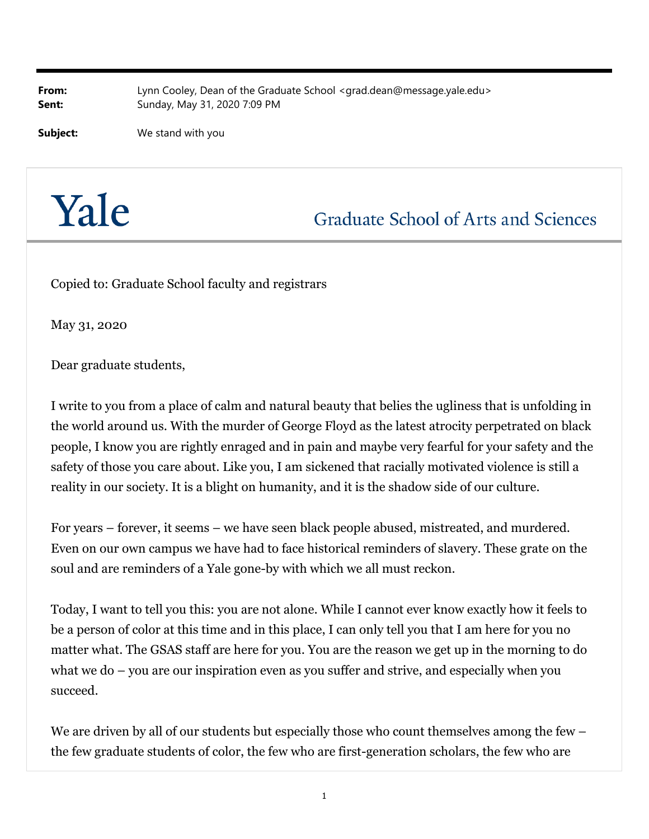**From:** Lynn Cooley, Dean of the Graduate School <grad.dean@message.yale.edu> **Sent:** Sunday, May 31, 2020 7:09 PM

**Subject:** We stand with you

## Yale

**Graduate School of Arts and Sciences** 

Copied to: Graduate School faculty and registrars

May 31, 2020

Dear graduate students,

I write to you from a place of calm and natural beauty that belies the ugliness that is unfolding in the world around us. With the murder of George Floyd as the latest atrocity perpetrated on black people, I know you are rightly enraged and in pain and maybe very fearful for your safety and the safety of those you care about. Like you, I am sickened that racially motivated violence is still a reality in our society. It is a blight on humanity, and it is the shadow side of our culture.

For years – forever, it seems – we have seen black people abused, mistreated, and murdered. Even on our own campus we have had to face historical reminders of slavery. These grate on the soul and are reminders of a Yale gone-by with which we all must reckon.

Today, I want to tell you this: you are not alone. While I cannot ever know exactly how it feels to be a person of color at this time and in this place, I can only tell you that I am here for you no matter what. The GSAS staff are here for you. You are the reason we get up in the morning to do what we do – you are our inspiration even as you suffer and strive, and especially when you succeed.

We are driven by all of our students but especially those who count themselves among the few – the few graduate students of color, the few who are first-generation scholars, the few who are